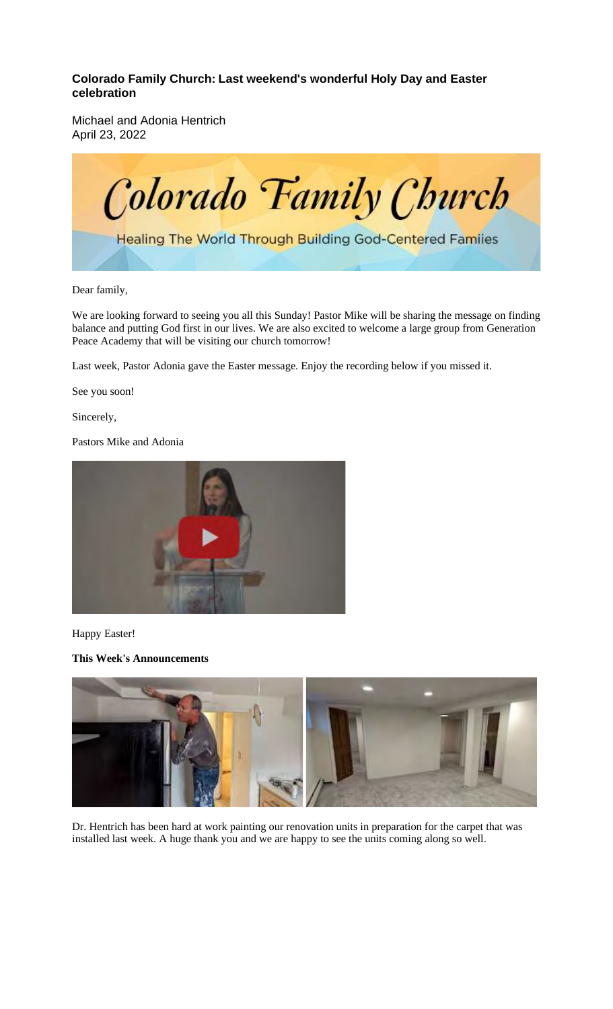## **Colorado Family Church: Last weekend's wonderful Holy Day and Easter celebration**

Michael and Adonia Hentrich April 23, 2022



Dear family,

We are looking forward to seeing you all this Sunday! Pastor Mike will be sharing the message on finding balance and putting God first in our lives. We are also excited to welcome a large group from Generation Peace Academy that will be visiting our church tomorrow!

Last week, Pastor Adonia gave the Easter message. Enjoy the recording below if you missed it.

See you soon!

Sincerely,

Pastors Mike and Adonia



Happy Easter!

**This Week's Announcements**



Dr. Hentrich has been hard at work painting our renovation units in preparation for the carpet that was installed last week. A huge thank you and we are happy to see the units coming along so well.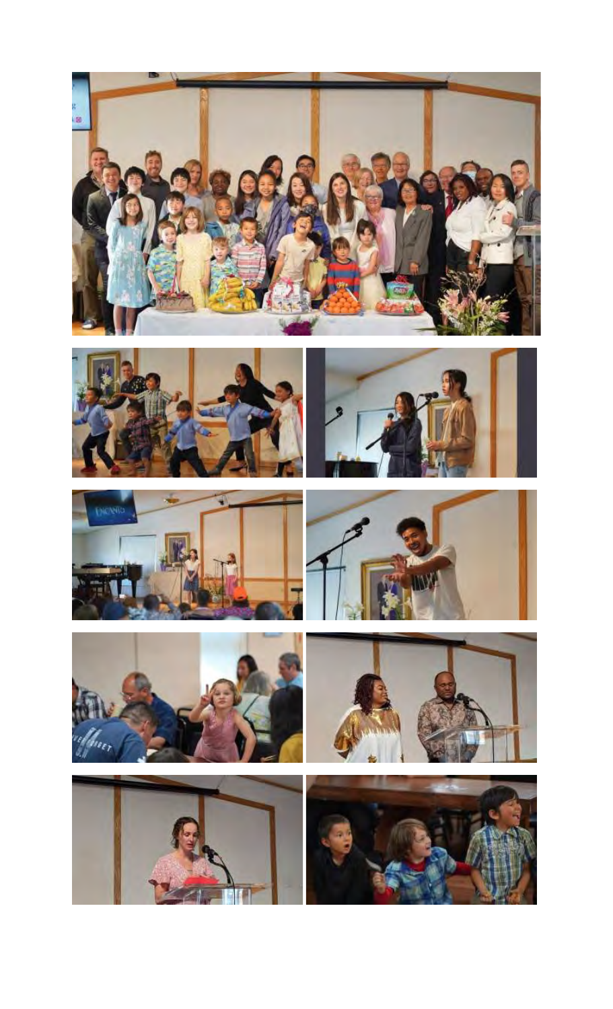













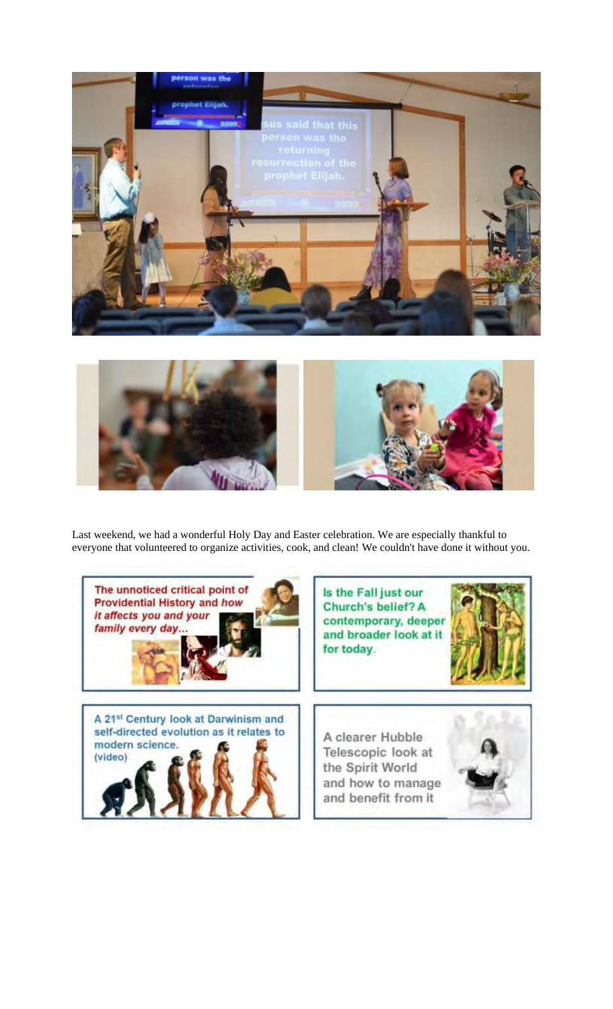



Last weekend, we had a wonderful Holy Day and Easter celebration. We are especially thankful to everyone that volunteered to organize activities, cook, and clean! We couldn't have done it without you.

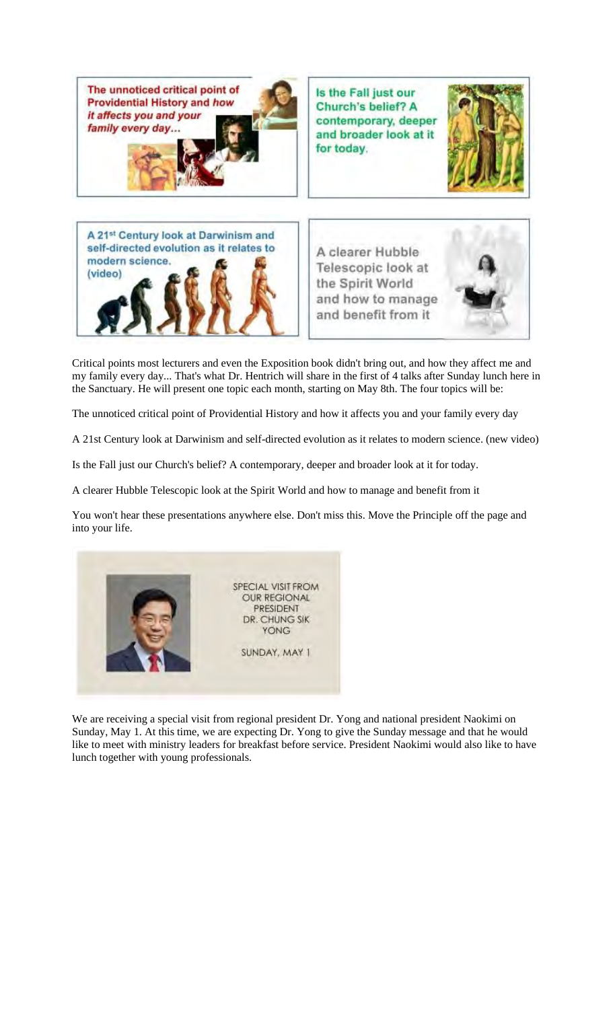

Critical points most lecturers and even the Exposition book didn't bring out, and how they affect me and my family every day... That's what Dr. Hentrich will share in the first of 4 talks after Sunday lunch here in the Sanctuary. He will present one topic each month, starting on May 8th. The four topics will be:

The unnoticed critical point of Providential History and how it affects you and your family every day

A 21st Century look at Darwinism and self-directed evolution as it relates to modern science. (new video)

Is the Fall just our Church's belief? A contemporary, deeper and broader look at it for today.

A clearer Hubble Telescopic look at the Spirit World and how to manage and benefit from it

You won't hear these presentations anywhere else. Don't miss this. Move the Principle off the page and into your life.



We are receiving a special visit from regional president Dr. Yong and national president Naokimi on Sunday, May 1. At this time, we are expecting Dr. Yong to give the Sunday message and that he would like to meet with ministry leaders for breakfast before service. President Naokimi would also like to have lunch together with young professionals.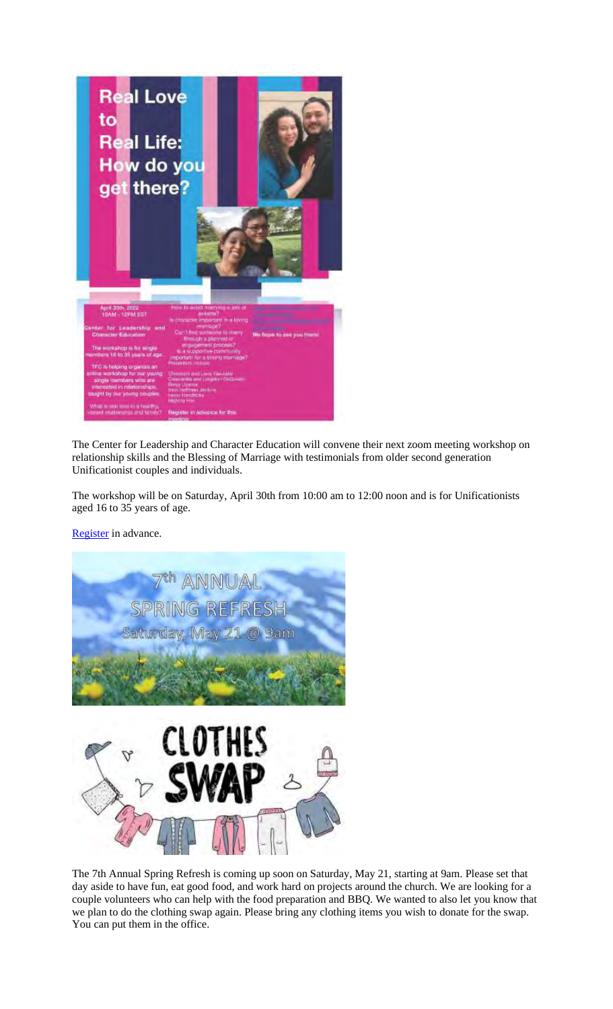

The Center for Leadership and Character Education will convene their next zoom meeting workshop on relationship skills and the Blessing of Marriage with testimonials from older second generation Unificationist couples and individuals.

The workshop will be on Saturday, April 30th from 10:00 am to 12:00 noon and is for Unificationists aged 16 to 35 years of age.

Register in advance.



The 7th Annual Spring Refresh is coming up soon on Saturday, May 21, starting at 9am. Please set that day aside to have fun, eat good food, and work hard on projects around the church. We are looking for a couple volunteers who can help with the food preparation and BBQ. We wanted to also let you know that we plan to do the clothing swap again. Please bring any clothing items you wish to donate for the swap. You can put them in the office.